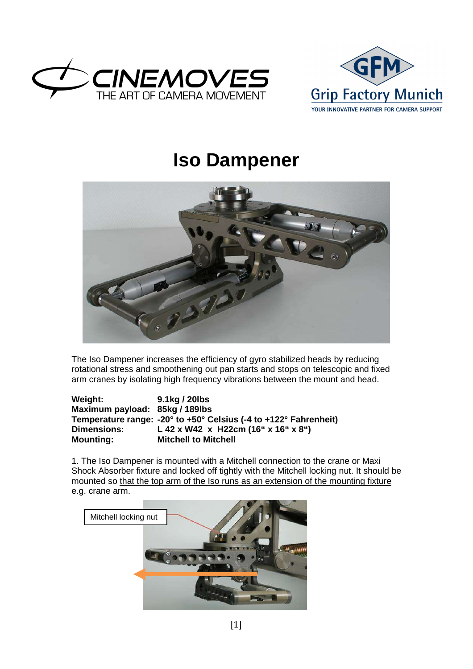



## **Iso Dampener**



The Iso Dampener increases the efficiency of gyro stabilized heads by reducing rotational stress and smoothening out pan starts and stops on telescopic and fixed arm cranes by isolating high frequency vibrations between the mount and head.

| Weight:                        | 9.1kg / 20lbs                                                    |
|--------------------------------|------------------------------------------------------------------|
| Maximum payload: 85kg / 189lbs |                                                                  |
|                                | Temperature range: -20° to +50° Celsius (-4 to +122° Fahrenheit) |
| <b>Dimensions:</b>             | L 42 x W42 x H22cm (16" x 16" x 8")                              |
| <b>Mounting:</b>               | <b>Mitchell to Mitchell</b>                                      |

1. The Iso Dampener is mounted with a Mitchell connection to the crane or Maxi Shock Absorber fixture and locked off tightly with the Mitchell locking nut. It should be mounted so that the top arm of the Iso runs as an extension of the mounting fixture e.g. crane arm.